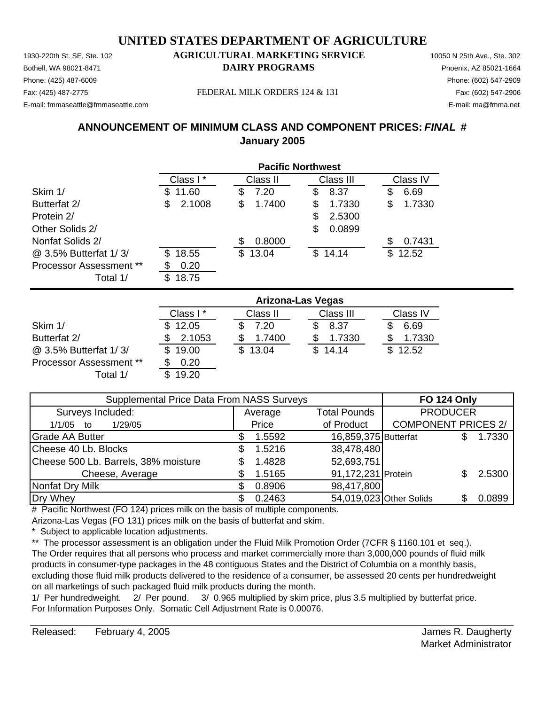Phone: (425) 487-6009 Phone: (602) 547-2909 E-mail: fmmaseattle@fmmaseattle.com E-mail: ma@fmma.net

### 1930-220th St. SE, Ste. 102 **AGRICULTURAL MARKETING SERVICE** 10050 N 25th Ave., Ste. 302 Bothell, WA 98021-8471 **DAIRY PROGRAMS** Phoenix, AZ 85021-1664

Fax: (425) 487-2775 FEDERAL MILK ORDERS 124 & 131 Fax: (602) 547-2906

## **ANNOUNCEMENT OF MINIMUM CLASS AND COMPONENT PRICES:** *FINAL* **# January 2005**

|                         | <b>Pacific Northwest</b> |              |              |              |  |  |
|-------------------------|--------------------------|--------------|--------------|--------------|--|--|
|                         | Class I*                 | Class II     | Class III    | Class IV     |  |  |
| Skim 1/                 | 11.60<br>S               | 7.20<br>S    | 8.37<br>S    | 6.69<br>\$   |  |  |
| Butterfat 2/            | 2.1008<br>\$             | 1.7400<br>S  | 1.7330<br>S  | 1.7330<br>\$ |  |  |
| Protein 2/              |                          |              | 2.5300<br>S  |              |  |  |
| Other Solids 2/         |                          |              | 0.0899<br>S  |              |  |  |
| Nonfat Solids 2/        |                          | 0.8000       |              | 0.7431<br>S  |  |  |
| @ 3.5% Butterfat 1/3/   | 18.55<br>\$.             | 13.04<br>\$. | \$.<br>14.14 | 12.52<br>\$. |  |  |
| Processor Assessment ** | 0.20<br>S                |              |              |              |  |  |
| Total 1/                | 18.75<br>\$.             |              |              |              |  |  |

|                                | <b>Arizona-Las Vegas</b> |              |           |          |  |  |
|--------------------------------|--------------------------|--------------|-----------|----------|--|--|
|                                | Class I*                 | Class II     | Class III | Class IV |  |  |
| Skim 1/                        | \$12.05                  | 7.20         | 8.37      | 6.69     |  |  |
| Butterfat 2/                   | 2.1053                   | 1.7400       | 1.7330    | 1.7330   |  |  |
| @ 3.5% Butterfat 1/3/          | 19.00<br>S.              | 13.04<br>SS. | \$14.14   | \$12.52  |  |  |
| <b>Processor Assessment **</b> | 0.20                     |              |           |          |  |  |
| Total 1/                       | 19.20                    |              |           |          |  |  |

| Supplemental Price Data From NASS Surveys | <b>FO 124 Only</b> |                      |                            |  |        |
|-------------------------------------------|--------------------|----------------------|----------------------------|--|--------|
| Surveys Included:                         | Average            | <b>Total Pounds</b>  | <b>PRODUCER</b>            |  |        |
| 1/29/05<br>$1/1/05$ to                    | Price              | of Product           | <b>COMPONENT PRICES 2/</b> |  |        |
| <b>Grade AA Butter</b>                    | 1.5592             | 16,859,375 Butterfat |                            |  | 1.7330 |
| Cheese 40 Lb. Blocks                      | 1.5216             | 38,478,480           |                            |  |        |
| Cheese 500 Lb. Barrels, 38% moisture      | 1.4828             | 52,693,751           |                            |  |        |
| Cheese, Average                           | 1.5165             | 91,172,231 Protein   |                            |  | 2.5300 |
| Nonfat Dry Milk                           | 0.8906             | 98,417,800           |                            |  |        |
| Dry Whey                                  | 0.2463             |                      | 54,019,023 Other Solids    |  | 0.0899 |

# Pacific Northwest (FO 124) prices milk on the basis of multiple components.

Arizona-Las Vegas (FO 131) prices milk on the basis of butterfat and skim.

Subject to applicable location adjustments.

\*\* The processor assessment is an obligation under the Fluid Milk Promotion Order (7CFR § 1160.101 et seq.). The Order requires that all persons who process and market commercially more than 3,000,000 pounds of fluid milk products in consumer-type packages in the 48 contiguous States and the District of Columbia on a monthly basis, excluding those fluid milk products delivered to the residence of a consumer, be assessed 20 cents per hundredweight on all marketings of such packaged fluid milk products during the month.

1/ Per hundredweight. 2/ Per pound. 3/ 0.965 multiplied by skim price, plus 3.5 multiplied by butterfat price. For Information Purposes Only. Somatic Cell Adjustment Rate is 0.00076.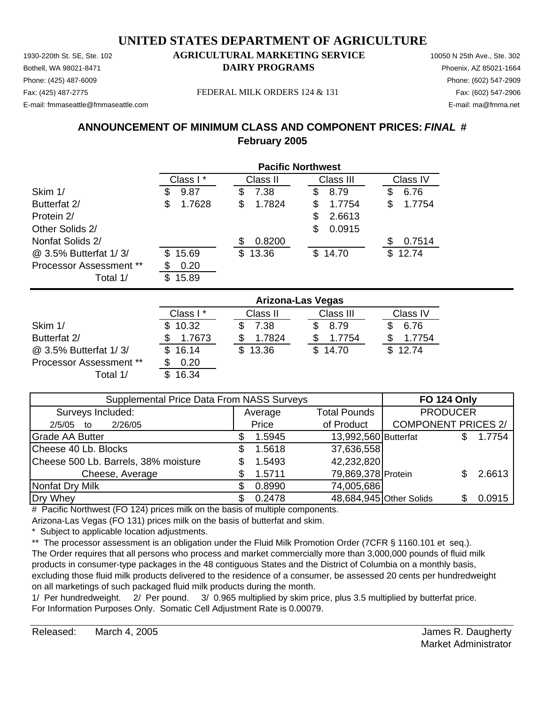Phone: (425) 487-6009 Phone: (602) 547-2909 E-mail: fmmaseattle@fmmaseattle.com E-mail: ma@fmma.net

### 1930-220th St. SE, Ste. 102 **AGRICULTURAL MARKETING SERVICE** 10050 N 25th Ave., Ste. 302 Bothell, WA 98021-8471 **DAIRY PROGRAMS** Phoenix, AZ 85021-1664

Fax: (425) 487-2775 FEDERAL MILK ORDERS 124 & 131 Fax: (602) 547-2906

## **ANNOUNCEMENT OF MINIMUM CLASS AND COMPONENT PRICES:** *FINAL* **# February 2005**

|                                | <b>Pacific Northwest</b> |              |              |              |  |
|--------------------------------|--------------------------|--------------|--------------|--------------|--|
|                                | Class I*                 | Class II     | Class III    | Class IV     |  |
| Skim 1/                        | 9.87<br>\$               | 7.38<br>\$   | 8.79<br>S    | 6.76<br>\$   |  |
| Butterfat 2/                   | 1.7628<br>\$             | 1.7824<br>\$ | 1.7754       | 1.7754<br>S  |  |
| Protein 2/                     |                          |              | 2.6613<br>S. |              |  |
| Other Solids 2/                |                          |              | 0.0915<br>S  |              |  |
| Nonfat Solids 2/               |                          | 0.8200       |              | 0.7514<br>S  |  |
| @ 3.5% Butterfat 1/3/          | 15.69<br>\$.             | \$13.36      | \$14.70      | 12.74<br>\$. |  |
| <b>Processor Assessment **</b> | 0.20<br>S                |              |              |              |  |
| Total 1/                       | 15.89<br>\$.             |              |              |              |  |

|                                | <b>Arizona-Las Vegas</b> |          |           |          |  |  |
|--------------------------------|--------------------------|----------|-----------|----------|--|--|
|                                | Class I *                | Class II | Class III | Class IV |  |  |
| Skim 1/                        | \$10.32                  | 7.38     | 8.79      | 6.76     |  |  |
| Butterfat 2/                   | 1.7673                   | 1.7824   | 1.7754    | 1.7754   |  |  |
| @ 3.5% Butterfat 1/3/          | \$16.14                  | \$13.36  | \$14.70   | \$12.74  |  |  |
| <b>Processor Assessment **</b> | 0.20                     |          |           |          |  |  |
| Total 1/                       | 16.34                    |          |           |          |  |  |

| Supplemental Price Data From NASS Surveys | <b>FO 124 Only</b> |                      |                            |  |        |
|-------------------------------------------|--------------------|----------------------|----------------------------|--|--------|
| Surveys Included:                         | Average            | <b>Total Pounds</b>  | <b>PRODUCER</b>            |  |        |
| 2/26/05<br>2/5/05<br>to                   | Price              | of Product           | <b>COMPONENT PRICES 2/</b> |  |        |
| <b>Grade AA Butter</b>                    | 1.5945             | 13,992,560 Butterfat |                            |  | 1.7754 |
| Cheese 40 Lb. Blocks                      | 1.5618             | 37,636,558           |                            |  |        |
| Cheese 500 Lb. Barrels, 38% moisture      | 1.5493             | 42,232,820           |                            |  |        |
| Cheese, Average                           | 1.5711             | 79,869,378 Protein   |                            |  | 2.6613 |
| Nonfat Dry Milk                           | 0.8990             | 74,005,686           |                            |  |        |
| Dry Whey                                  | 0.2478             |                      | 48,684,945 Other Solids    |  | 0.0915 |

# Pacific Northwest (FO 124) prices milk on the basis of multiple components.

Arizona-Las Vegas (FO 131) prices milk on the basis of butterfat and skim.

Subject to applicable location adjustments.

\*\* The processor assessment is an obligation under the Fluid Milk Promotion Order (7CFR § 1160.101 et seq.). The Order requires that all persons who process and market commercially more than 3,000,000 pounds of fluid milk products in consumer-type packages in the 48 contiguous States and the District of Columbia on a monthly basis, excluding those fluid milk products delivered to the residence of a consumer, be assessed 20 cents per hundredweight on all marketings of such packaged fluid milk products during the month.

1/ Per hundredweight. 2/ Per pound. 3/ 0.965 multiplied by skim price, plus 3.5 multiplied by butterfat price. For Information Purposes Only. Somatic Cell Adjustment Rate is 0.00079.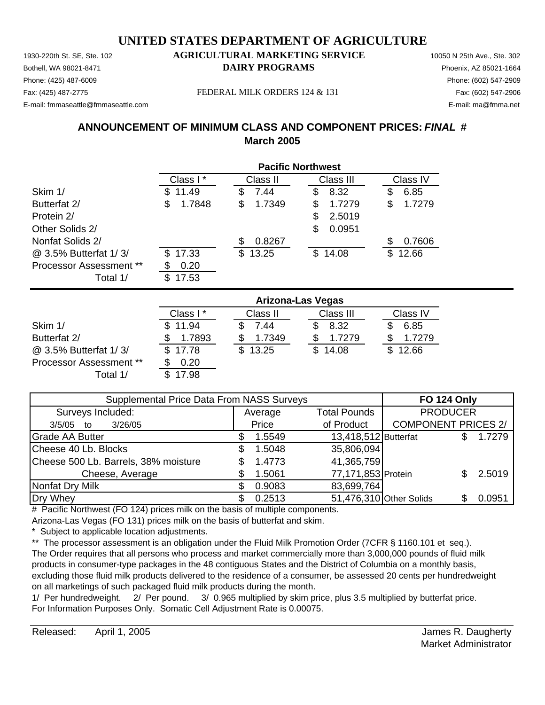Phone: (425) 487-6009 Phone: (602) 547-2909 E-mail: fmmaseattle@fmmaseattle.com E-mail: ma@fmma.net

### 1930-220th St. SE, Ste. 102 **AGRICULTURAL MARKETING SERVICE** 10050 N 25th Ave., Ste. 302 Bothell, WA 98021-8471 **DAIRY PROGRAMS** Phoenix, AZ 85021-1664

Fax: (425) 487-2775 FEDERAL MILK ORDERS 124 & 131 Fax: (602) 547-2906

## **ANNOUNCEMENT OF MINIMUM CLASS AND COMPONENT PRICES:** *FINAL* **# March 2005**

|                                | <b>Pacific Northwest</b> |              |              |              |  |  |
|--------------------------------|--------------------------|--------------|--------------|--------------|--|--|
|                                | Class I*                 | Class II     | Class III    | Class IV     |  |  |
| Skim 1/                        | 11.49<br>SS              | 7.44<br>S    | 8.32<br>S    | 6.85<br>S    |  |  |
| Butterfat 2/                   | \$<br>1.7848             | 1.7349<br>\$ | 1.7279<br>\$ | 1.7279<br>\$ |  |  |
| Protein 2/                     |                          |              | 2.5019<br>\$ |              |  |  |
| Other Solids 2/                |                          |              | 0.0951<br>S  |              |  |  |
| Nonfat Solids 2/               |                          | 0.8267       |              | 0.7606<br>S  |  |  |
| @ 3.5% Butterfat 1/3/          | 17.33<br>\$.             | \$13.25      | \$14.08      | 12.66<br>\$. |  |  |
| <b>Processor Assessment **</b> | 0.20<br>S                |              |              |              |  |  |
| Total 1/                       | \$.<br>17.53             |              |              |              |  |  |

|                                | <b>Arizona-Las Vegas</b> |          |           |          |  |  |
|--------------------------------|--------------------------|----------|-----------|----------|--|--|
|                                | Class I*                 | Class II | Class III | Class IV |  |  |
| Skim 1/                        | \$11.94                  | 7.44     | 8.32      | 6.85     |  |  |
| Butterfat 2/                   | 1.7893                   | 1.7349   | 1.7279    | 1.7279   |  |  |
| @ 3.5% Butterfat 1/3/          | \$17.78                  | 13.25    | \$14.08   | \$12.66  |  |  |
| <b>Processor Assessment **</b> | 0.20                     |          |           |          |  |  |
| Total 1/                       | 17.98                    |          |           |          |  |  |

| Supplemental Price Data From NASS Surveys | <b>FO 124 Only</b> |                      |                            |  |                 |
|-------------------------------------------|--------------------|----------------------|----------------------------|--|-----------------|
| Surveys Included:                         | Average            | <b>Total Pounds</b>  | <b>PRODUCER</b>            |  |                 |
| 3/26/05<br>$3/5/05$ to                    | Price              | of Product           | <b>COMPONENT PRICES 2/</b> |  |                 |
| <b>Grade AA Butter</b>                    | 1.5549             | 13,418,512 Butterfat |                            |  | 1.7279          |
| Cheese 40 Lb. Blocks                      | 1.5048             | 35,806,094           |                            |  |                 |
| Cheese 500 Lb. Barrels, 38% moisture      | 1.4773             | 41,365,759           |                            |  |                 |
| Cheese, Average                           | 1.5061             | 77,171,853 Protein   |                            |  | $2.5019$ $\mid$ |
| Nonfat Dry Milk                           | 0.9083             | 83,699,764           |                            |  |                 |
| Dry Whey                                  | 0.2513             |                      | 51,476,310 Other Solids    |  | 0.0951          |

# Pacific Northwest (FO 124) prices milk on the basis of multiple components.

Arizona-Las Vegas (FO 131) prices milk on the basis of butterfat and skim.

Subject to applicable location adjustments.

\*\* The processor assessment is an obligation under the Fluid Milk Promotion Order (7CFR § 1160.101 et seq.). The Order requires that all persons who process and market commercially more than 3,000,000 pounds of fluid milk products in consumer-type packages in the 48 contiguous States and the District of Columbia on a monthly basis, excluding those fluid milk products delivered to the residence of a consumer, be assessed 20 cents per hundredweight on all marketings of such packaged fluid milk products during the month.

1/ Per hundredweight. 2/ Per pound. 3/ 0.965 multiplied by skim price, plus 3.5 multiplied by butterfat price. For Information Purposes Only. Somatic Cell Adjustment Rate is 0.00075.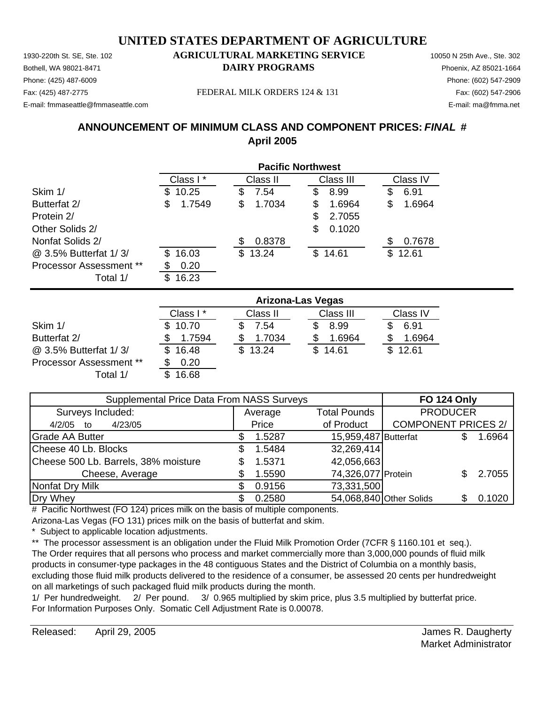1930-220th St. SE, Ste. 102 **AGRICULTURAL MARKETING SERVICE** 10050 N 25th Ave., Ste. 302 Phone: (425) 487-6009 Phone: (602) 547-2909 E-mail: fmmaseattle@fmmaseattle.com E-mail: ma@fmma.net

# Bothell, WA 98021-8471 **DAIRY PROGRAMS** Phoenix, AZ 85021-1664

Fax: (425) 487-2775 FEDERAL MILK ORDERS 124 & 131 Fax: (602) 547-2906

## **ANNOUNCEMENT OF MINIMUM CLASS AND COMPONENT PRICES:** *FINAL* **# April 2005**

|                                | <b>Pacific Northwest</b> |             |             |              |  |  |
|--------------------------------|--------------------------|-------------|-------------|--------------|--|--|
|                                | Class I*                 | Class II    | Class III   | Class IV     |  |  |
| Skim 1/                        | 10.25<br>S               | 7.54<br>S   | 8.99<br>\$  | 6.91<br>\$   |  |  |
| Butterfat 2/                   | 1.7549<br>\$             | 1.7034<br>S | 1.6964<br>S | 1.6964<br>\$ |  |  |
| Protein 2/                     |                          |             | 2.7055<br>S |              |  |  |
| Other Solids 2/                |                          |             | 0.1020<br>S |              |  |  |
| Nonfat Solids 2/               |                          | 0.8378      |             | 0.7678<br>S  |  |  |
| @ 3.5% Butterfat 1/3/          | 16.03<br>\$.             | \$13.24     | \$14.61     | 12.61<br>\$. |  |  |
| <b>Processor Assessment **</b> | 0.20<br>œ                |             |             |              |  |  |
| Total 1/                       | 16.23<br>\$.             |             |             |              |  |  |

|                                | Arizona-Las Vegas |          |           |          |  |  |
|--------------------------------|-------------------|----------|-----------|----------|--|--|
|                                | Class I*          | Class II | Class III | Class IV |  |  |
| Skim 1/                        | \$10.70           | 7.54     | 8.99      | 6.91     |  |  |
| Butterfat 2/                   | 1.7594            | 1.7034   | 1.6964    | 1.6964   |  |  |
| @ 3.5% Butterfat 1/3/          | \$16.48           | \$13.24  | \$14.61   | \$12.61  |  |  |
| <b>Processor Assessment **</b> | 0.20              |          |           |          |  |  |
| Total 1/                       | 16.68             |          |           |          |  |  |

| Supplemental Price Data From NASS Surveys | <b>FO 124 Only</b> |                      |                            |  |        |
|-------------------------------------------|--------------------|----------------------|----------------------------|--|--------|
| Surveys Included:                         | Average            | <b>Total Pounds</b>  | <b>PRODUCER</b>            |  |        |
| 4/23/05<br>4/2/05<br>to                   | Price              | of Product           | <b>COMPONENT PRICES 2/</b> |  |        |
| <b>Grade AA Butter</b>                    | 1.5287             | 15,959,487 Butterfat |                            |  | 1.6964 |
| Cheese 40 Lb. Blocks                      | 1.5484             | 32,269,414           |                            |  |        |
| Cheese 500 Lb. Barrels, 38% moisture      | 1.5371             | 42,056,663           |                            |  |        |
| Cheese, Average                           | 1.5590             | 74,326,077 Protein   |                            |  | 2.7055 |
| Nonfat Dry Milk                           | 0.9156             | 73,331,500           |                            |  |        |
| Dry Whey                                  | 0.2580             |                      | 54,068,840 Other Solids    |  | 0.1020 |

# Pacific Northwest (FO 124) prices milk on the basis of multiple components.

Arizona-Las Vegas (FO 131) prices milk on the basis of butterfat and skim.

Subject to applicable location adjustments.

\*\* The processor assessment is an obligation under the Fluid Milk Promotion Order (7CFR § 1160.101 et seq.). The Order requires that all persons who process and market commercially more than 3,000,000 pounds of fluid milk products in consumer-type packages in the 48 contiguous States and the District of Columbia on a monthly basis, excluding those fluid milk products delivered to the residence of a consumer, be assessed 20 cents per hundredweight on all marketings of such packaged fluid milk products during the month.

1/ Per hundredweight. 2/ Per pound. 3/ 0.965 multiplied by skim price, plus 3.5 multiplied by butterfat price. For Information Purposes Only. Somatic Cell Adjustment Rate is 0.00078.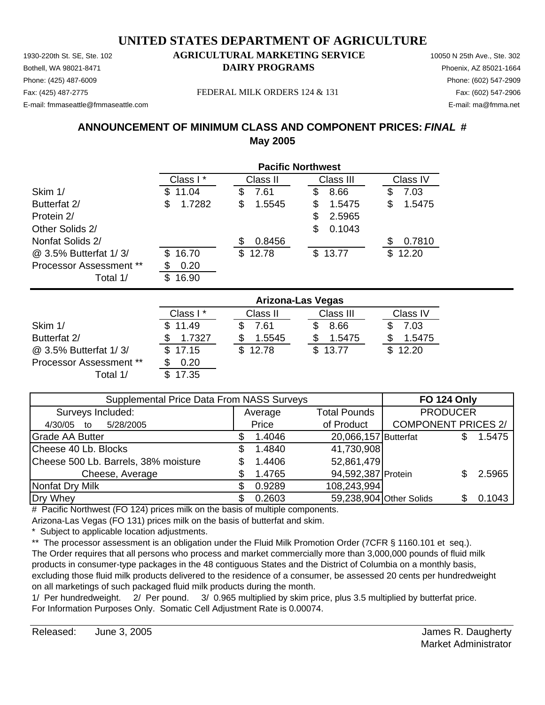Phone: (425) 487-6009 Phone: (602) 547-2909 E-mail: fmmaseattle@fmmaseattle.com E-mail: ma@fmma.net

### 1930-220th St. SE, Ste. 102 **AGRICULTURAL MARKETING SERVICE** 10050 N 25th Ave., Ste. 302 Bothell, WA 98021-8471 **DAIRY PROGRAMS** Phoenix, AZ 85021-1664

Fax: (425) 487-2775 FEDERAL MILK ORDERS 124 & 131 Fax: (602) 547-2906

## **ANNOUNCEMENT OF MINIMUM CLASS AND COMPONENT PRICES:** *FINAL* **# May 2005**

|                                | <b>Pacific Northwest</b> |              |             |              |  |
|--------------------------------|--------------------------|--------------|-------------|--------------|--|
|                                | Class I*                 | Class II     | Class III   | Class IV     |  |
| Skim 1/                        | 11.04<br>SБ              | 7.61<br>S    | 8.66<br>S   | 7.03<br>\$   |  |
| Butterfat 2/                   | 1.7282<br>\$             | \$<br>1.5545 | 1.5475<br>S | 1.5475<br>S  |  |
| Protein 2/                     |                          |              | 2.5965<br>S |              |  |
| Other Solids 2/                |                          |              | 0.1043<br>S |              |  |
| Nonfat Solids 2/               |                          | 0.8456<br>S  |             | 0.7810       |  |
| @ 3.5% Butterfat 1/3/          | 16.70<br>\$.             | \$12.78      | \$13.77     | 12.20<br>\$. |  |
| <b>Processor Assessment **</b> | 0.20                     |              |             |              |  |
| Total 1/                       | 16.90<br>S               |              |             |              |  |

|                                | <b>Arizona-Las Vegas</b> |          |           |          |  |
|--------------------------------|--------------------------|----------|-----------|----------|--|
|                                | Class I *                | Class II | Class III | Class IV |  |
| Skim 1/                        | \$11.49                  | 7.61     | 8.66      | 7.03     |  |
| Butterfat 2/                   | 1.7327                   | 1.5545   | 1.5475    | 1.5475   |  |
| @ 3.5% Butterfat 1/3/          | \$17.15                  | \$12.78  | \$13.77   | \$12.20  |  |
| <b>Processor Assessment **</b> | 0.20                     |          |           |          |  |
| Total 1/                       | 17.35                    |          |           |          |  |

| Supplemental Price Data From NASS Surveys |  |         |                      | <b>FO 124 Only</b>         |  |        |
|-------------------------------------------|--|---------|----------------------|----------------------------|--|--------|
| Surveys Included:                         |  | Average | <b>Total Pounds</b>  | <b>PRODUCER</b>            |  |        |
| 5/28/2005<br>4/30/05<br>to                |  | Price   | of Product           | <b>COMPONENT PRICES 2/</b> |  |        |
| <b>Grade AA Butter</b>                    |  | 1.4046  | 20,066,157 Butterfat |                            |  | 1.5475 |
| Cheese 40 Lb. Blocks                      |  | 1.4840  | 41,730,908           |                            |  |        |
| Cheese 500 Lb. Barrels, 38% moisture      |  | 1.4406  | 52,861,479           |                            |  |        |
| Cheese, Average                           |  | 1.4765  | 94,592,387 Protein   |                            |  | 2.5965 |
| Nonfat Dry Milk                           |  | 0.9289  | 108,243,994          |                            |  |        |
| Dry Whey                                  |  | 0.2603  |                      | 59,238,904 Other Solids    |  | 0.1043 |

# Pacific Northwest (FO 124) prices milk on the basis of multiple components.

Arizona-Las Vegas (FO 131) prices milk on the basis of butterfat and skim.

Subject to applicable location adjustments.

\*\* The processor assessment is an obligation under the Fluid Milk Promotion Order (7CFR § 1160.101 et seq.). The Order requires that all persons who process and market commercially more than 3,000,000 pounds of fluid milk products in consumer-type packages in the 48 contiguous States and the District of Columbia on a monthly basis, excluding those fluid milk products delivered to the residence of a consumer, be assessed 20 cents per hundredweight on all marketings of such packaged fluid milk products during the month.

1/ Per hundredweight. 2/ Per pound. 3/ 0.965 multiplied by skim price, plus 3.5 multiplied by butterfat price. For Information Purposes Only. Somatic Cell Adjustment Rate is 0.00074.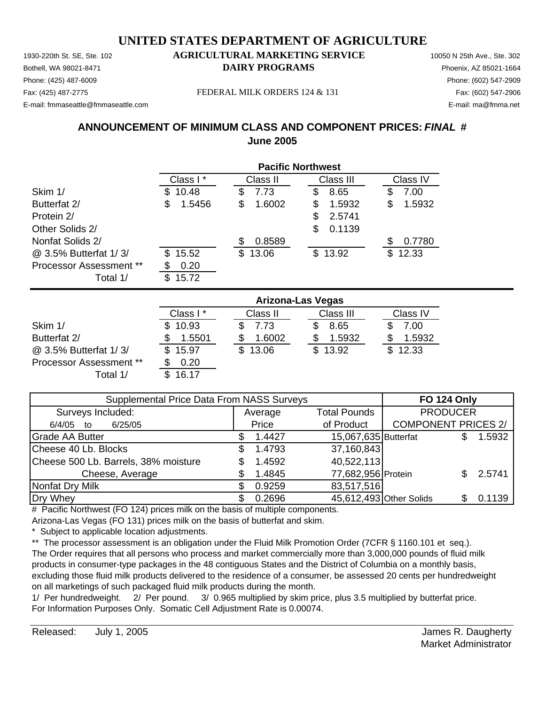Phone: (425) 487-6009 Phone: (602) 547-2909 E-mail: fmmaseattle@fmmaseattle.com E-mail: ma@fmma.net

### 1930-220th St. SE, Ste. 102 **AGRICULTURAL MARKETING SERVICE** 10050 N 25th Ave., Ste. 302 Bothell, WA 98021-8471 **DAIRY PROGRAMS** Phoenix, AZ 85021-1664

Fax: (425) 487-2775 FEDERAL MILK ORDERS 124 & 131 Fax: (602) 547-2906

## **ANNOUNCEMENT OF MINIMUM CLASS AND COMPONENT PRICES:** *FINAL* **# June 2005**

|                         | <b>Pacific Northwest</b> |               |              |              |  |
|-------------------------|--------------------------|---------------|--------------|--------------|--|
|                         | Class I*                 | Class II      | Class III    | Class IV     |  |
| Skim 1/                 | 10.48<br>£.              | 7.73<br>\$    | 8.65<br>\$   | 7.00<br>S    |  |
| Butterfat 2/            | 1.5456<br>S              | \$<br>1.6002  | 1.5932<br>S  | 1.5932<br>S  |  |
| Protein 2/              |                          |               | 2.5741<br>S. |              |  |
| Other Solids 2/         |                          |               | 0.1139<br>\$ |              |  |
| Nonfat Solids 2/        |                          | 0.8589<br>\$. |              | 0.7780       |  |
| @ 3.5% Butterfat 1/3/   | 15.52<br>S.              | \$13.06       | \$13.92      | 12.33<br>\$. |  |
| Processor Assessment ** | 0.20                     |               |              |              |  |
| Total 1/                | 15.72                    |               |              |              |  |

|                                | <b>Arizona-Las Vegas</b> |          |           |              |  |
|--------------------------------|--------------------------|----------|-----------|--------------|--|
|                                | Class I*                 | Class II | Class III | Class IV     |  |
| Skim 1/                        | 10.93                    | 7.73     | 8.65      | 7.00         |  |
| Butterfat 2/                   | 1.5501                   | 1.6002   | 1.5932    | 1.5932       |  |
| @ 3.5% Butterfat 1/3/          | \$15.97                  | \$13.06  | \$13.92   | 12.33<br>SS. |  |
| <b>Processor Assessment **</b> | 0.20                     |          |           |              |  |
| Total 1/                       | 16.17                    |          |           |              |  |

| Supplemental Price Data From NASS Surveys |  |         |                         | <b>FO 124 Only</b>         |  |        |
|-------------------------------------------|--|---------|-------------------------|----------------------------|--|--------|
| Surveys Included:                         |  | Average | <b>Total Pounds</b>     | <b>PRODUCER</b>            |  |        |
| 6/25/05<br>6/4/05 to                      |  | Price   | of Product              | <b>COMPONENT PRICES 2/</b> |  |        |
| <b>Grade AA Butter</b>                    |  | 1.4427  | 15,067,635 Butterfat    |                            |  | 1.5932 |
| Cheese 40 Lb. Blocks                      |  | 1.4793  | 37,160,843              |                            |  |        |
| Cheese 500 Lb. Barrels, 38% moisture      |  | 1.4592  | 40,522,113              |                            |  |        |
| Cheese, Average                           |  | 1.4845  | 77,682,956 Protein      |                            |  | 2.5741 |
| Nonfat Dry Milk                           |  | 0.9259  | 83,517,516              |                            |  |        |
| Dry Whey                                  |  | 0.2696  | 45,612,493 Other Solids |                            |  | 0.1139 |

# Pacific Northwest (FO 124) prices milk on the basis of multiple components.

Arizona-Las Vegas (FO 131) prices milk on the basis of butterfat and skim.

Subject to applicable location adjustments.

\*\* The processor assessment is an obligation under the Fluid Milk Promotion Order (7CFR § 1160.101 et seq.). The Order requires that all persons who process and market commercially more than 3,000,000 pounds of fluid milk products in consumer-type packages in the 48 contiguous States and the District of Columbia on a monthly basis, excluding those fluid milk products delivered to the residence of a consumer, be assessed 20 cents per hundredweight on all marketings of such packaged fluid milk products during the month.

1/ Per hundredweight. 2/ Per pound. 3/ 0.965 multiplied by skim price, plus 3.5 multiplied by butterfat price. For Information Purposes Only. Somatic Cell Adjustment Rate is 0.00074.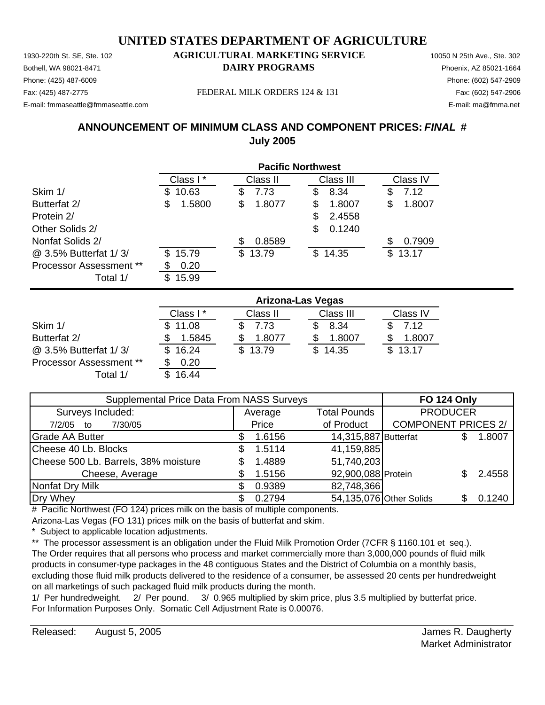1930-220th St. SE, Ste. 102 **AGRICULTURAL MARKETING SERVICE** 10050 N 25th Ave., Ste. 302 Phone: (425) 487-6009 Phone: (602) 547-2909 E-mail: fmmaseattle@fmmaseattle.com E-mail: ma@fmma.net

# Bothell, WA 98021-8471 **DAIRY PROGRAMS** Phoenix, AZ 85021-1664

Fax: (425) 487-2775 FEDERAL MILK ORDERS 124 & 131 Fax: (602) 547-2906

## **ANNOUNCEMENT OF MINIMUM CLASS AND COMPONENT PRICES:** *FINAL* **# July 2005**

|                                | <b>Pacific Northwest</b> |              |              |              |  |
|--------------------------------|--------------------------|--------------|--------------|--------------|--|
|                                | Class I*                 | Class II     | Class III    | Class IV     |  |
| Skim 1/                        | 10.63<br>S               | 7.73<br>\$   | 8.34<br>\$   | 7.12<br>\$   |  |
| Butterfat 2/                   | 1.5800<br>S              | \$<br>1.8077 | 1.8007<br>S  | 1.8007<br>\$ |  |
| Protein 2/                     |                          |              | 2.4558<br>S  |              |  |
| Other Solids 2/                |                          |              | 0.1240<br>\$ |              |  |
| Nonfat Solids 2/               |                          | 0.8589<br>S  |              | 0.7909<br>S  |  |
| @ 3.5% Butterfat 1/3/          | 15.79<br>S               | \$13.79      | \$14.35      | 13.17<br>\$  |  |
| <b>Processor Assessment **</b> | 0.20                     |              |              |              |  |
| Total 1/                       | 15.99<br>S               |              |              |              |  |

|                         | <b>Arizona-Las Vegas</b> |          |           |          |  |
|-------------------------|--------------------------|----------|-----------|----------|--|
|                         | Class I*                 | Class II | Class III | Class IV |  |
| Skim 1/                 | \$11.08                  | 7.73     | 8.34      | 7.12     |  |
| Butterfat 2/            | 1.5845                   | 1.8077   | 1.8007    | 1.8007   |  |
| @ 3.5% Butterfat 1/3/   | \$16.24                  | \$13.79  | \$14.35   | \$13.17  |  |
| Processor Assessment ** | 0.20                     |          |           |          |  |
| Total 1/                | 16.44                    |          |           |          |  |

| Supplemental Price Data From NASS Surveys |  |         |                      | <b>FO 124 Only</b>         |        |
|-------------------------------------------|--|---------|----------------------|----------------------------|--------|
| Surveys Included:                         |  | Average | <b>Total Pounds</b>  | <b>PRODUCER</b>            |        |
| 7/30/05<br>7/2/05<br>to                   |  | Price   | of Product           | <b>COMPONENT PRICES 2/</b> |        |
| <b>Grade AA Butter</b>                    |  | 1.6156  | 14,315,887 Butterfat |                            | 1.8007 |
| Cheese 40 Lb. Blocks                      |  | 1.5114  | 41,159,885           |                            |        |
| Cheese 500 Lb. Barrels, 38% moisture      |  | 1.4889  | 51,740,203           |                            |        |
| Cheese, Average                           |  | 1.5156  | 92,900,088 Protein   |                            | 2.4558 |
| Nonfat Dry Milk                           |  | 0.9389  | 82,748,366           |                            |        |
| Dry Whey                                  |  | 0.2794  |                      | 54,135,076 Other Solids    | 0.1240 |

# Pacific Northwest (FO 124) prices milk on the basis of multiple components.

Arizona-Las Vegas (FO 131) prices milk on the basis of butterfat and skim.

Subject to applicable location adjustments.

\*\* The processor assessment is an obligation under the Fluid Milk Promotion Order (7CFR § 1160.101 et seq.). The Order requires that all persons who process and market commercially more than 3,000,000 pounds of fluid milk products in consumer-type packages in the 48 contiguous States and the District of Columbia on a monthly basis, excluding those fluid milk products delivered to the residence of a consumer, be assessed 20 cents per hundredweight on all marketings of such packaged fluid milk products during the month.

1/ Per hundredweight. 2/ Per pound. 3/ 0.965 multiplied by skim price, plus 3.5 multiplied by butterfat price. For Information Purposes Only. Somatic Cell Adjustment Rate is 0.00076.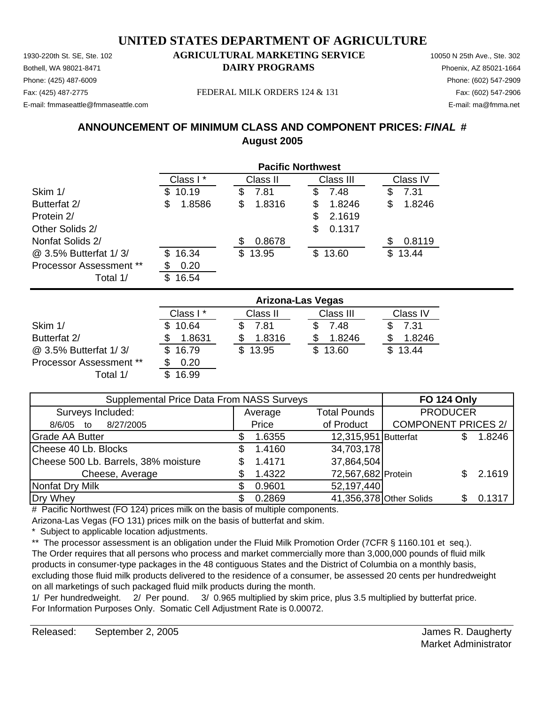Phone: (425) 487-6009 Phone: (602) 547-2909 E-mail: fmmaseattle@fmmaseattle.com E-mail: ma@fmma.net

### 1930-220th St. SE, Ste. 102 **AGRICULTURAL MARKETING SERVICE** 10050 N 25th Ave., Ste. 302 Bothell, WA 98021-8471 **DAIRY PROGRAMS** Phoenix, AZ 85021-1664

Fax: (425) 487-2775 Fax: (602) 547-2906 FEDERAL MILK ORDERS 124 & 131

## **ANNOUNCEMENT OF MINIMUM CLASS AND COMPONENT PRICES:** *FINAL* **# August 2005**

|                                | <b>Pacific Northwest</b> |              |              |             |  |
|--------------------------------|--------------------------|--------------|--------------|-------------|--|
|                                | Class I*                 | Class II     | Class III    | Class IV    |  |
| Skim 1/                        | 10.19<br>S               | 7.81<br>\$   | 7.48<br>S    | 7.31<br>S   |  |
| Butterfat 2/                   | 1.8586<br>\$             | 1.8316<br>\$ | 1.8246<br>S  | 1.8246<br>S |  |
| Protein 2/                     |                          |              | 2.1619<br>S. |             |  |
| Other Solids 2/                |                          |              | \$<br>0.1317 |             |  |
| Nonfat Solids 2/               |                          | 0.8678<br>S  |              | 0.8119      |  |
| @ 3.5% Butterfat 1/3/          | 16.34<br>S               | \$13.95      | \$13.60      | 13.44<br>S  |  |
| <b>Processor Assessment **</b> | 0.20<br>S                |              |              |             |  |
| Total 1/                       | 16.54<br>S               |              |              |             |  |

|                                | Arizona-Las Vegas |          |           |          |  |
|--------------------------------|-------------------|----------|-----------|----------|--|
|                                | Class I*          | Class II | Class III | Class IV |  |
| Skim 1/                        | \$10.64           | 7.81     | 7.48      | 7.31     |  |
| Butterfat 2/                   | 1.8631            | 1.8316   | 1.8246    | 1.8246   |  |
| @ 3.5% Butterfat 1/3/          | \$16.79           | \$13.95  | \$13.60   | \$13.44  |  |
| <b>Processor Assessment **</b> | 0.20              |          |           |          |  |
| Total 1/                       | 16.99             |          |           |          |  |

| Supplemental Price Data From NASS Surveys | <b>FO 124 Only</b> |                      |                            |  |        |
|-------------------------------------------|--------------------|----------------------|----------------------------|--|--------|
| Surveys Included:                         | Average            | <b>Total Pounds</b>  | <b>PRODUCER</b>            |  |        |
| 8/27/2005<br>8/6/05<br>to                 | Price              | of Product           | <b>COMPONENT PRICES 2/</b> |  |        |
| <b>Grade AA Butter</b>                    | 1.6355             | 12,315,951 Butterfat |                            |  | 1.8246 |
| Cheese 40 Lb. Blocks                      | 1.4160             | 34,703,178           |                            |  |        |
| Cheese 500 Lb. Barrels, 38% moisture      | 1.4171             | 37,864,504           |                            |  |        |
| Cheese, Average                           | 1.4322             | 72,567,682 Protein   |                            |  | 2.1619 |
| Nonfat Dry Milk                           | 0.9601             | 52,197,440           |                            |  |        |
| Dry Whey                                  | 0.2869             |                      | 41,356,378 Other Solids    |  | 0.1317 |

# Pacific Northwest (FO 124) prices milk on the basis of multiple components.

Arizona-Las Vegas (FO 131) prices milk on the basis of butterfat and skim.

Subject to applicable location adjustments.

\*\* The processor assessment is an obligation under the Fluid Milk Promotion Order (7CFR § 1160.101 et seq.). The Order requires that all persons who process and market commercially more than 3,000,000 pounds of fluid milk products in consumer-type packages in the 48 contiguous States and the District of Columbia on a monthly basis, excluding those fluid milk products delivered to the residence of a consumer, be assessed 20 cents per hundredweight on all marketings of such packaged fluid milk products during the month.

1/ Per hundredweight. 2/ Per pound. 3/ 0.965 multiplied by skim price, plus 3.5 multiplied by butterfat price. For Information Purposes Only. Somatic Cell Adjustment Rate is 0.00072.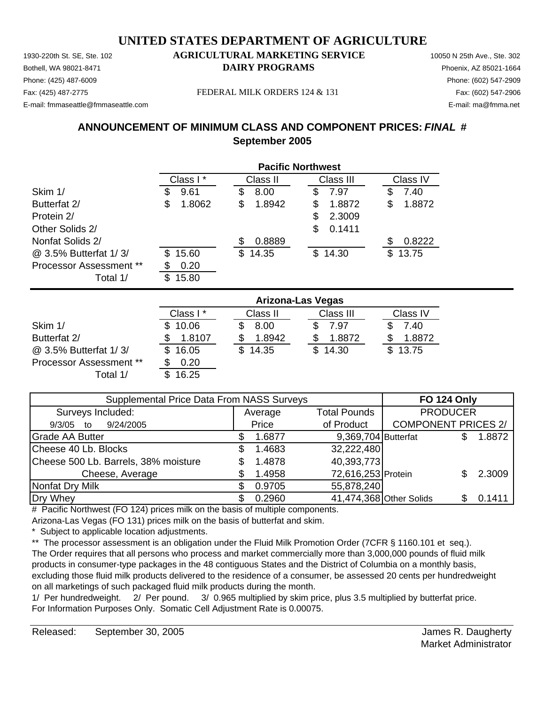Phone: (425) 487-6009 Phone: (602) 547-2909 E-mail: fmmaseattle@fmmaseattle.com E-mail: ma@fmma.net

## 1930-220th St. SE, Ste. 102 **AGRICULTURAL MARKETING SERVICE** 10050 N 25th Ave., Ste. 302 Bothell, WA 98021-8471 **DAIRY PROGRAMS** Phoenix, AZ 85021-1664

Fax: (425) 487-2775 Fax: (602) 547-2906 FEDERAL MILK ORDERS 124 & 131

## **ANNOUNCEMENT OF MINIMUM CLASS AND COMPONENT PRICES:** *FINAL* **# September 2005**

|                         | <b>Pacific Northwest</b> |          |    |          |    |           |     |          |
|-------------------------|--------------------------|----------|----|----------|----|-----------|-----|----------|
|                         |                          | Class I* |    | Class II |    | Class III |     | Class IV |
| Skim 1/                 | Φ                        | 9.61     | \$ | 8.00     | S  | 7.97      | S   | 7.40     |
| Butterfat 2/            | S                        | 1.8062   | \$ | 1.8942   | S  | 1.8872    | S   | 1.8872   |
| Protein 2/              |                          |          |    |          | S. | 2.3009    |     |          |
| Other Solids 2/         |                          |          |    |          | \$ | 0.1411    |     |          |
| Nonfat Solids 2/        |                          |          | S  | 0.8889   |    |           |     | 0.8222   |
| @ 3.5% Butterfat 1/3/   | \$.                      | 15.60    |    | \$14.35  |    | \$14.30   | \$. | 13.75    |
| Processor Assessment ** |                          | 0.20     |    |          |    |           |     |          |
| Total 1/                | S                        | 15.80    |    |          |    |           |     |          |

|                                | <b>Arizona-Las Vegas</b> |          |           |          |  |  |  |
|--------------------------------|--------------------------|----------|-----------|----------|--|--|--|
|                                | Class I*                 | Class II | Class III | Class IV |  |  |  |
| Skim 1/                        | 10.06                    | 8.00     | 7.97      | 7.40     |  |  |  |
| Butterfat 2/                   | 1.8107                   | 1.8942   | 1.8872    | 1.8872   |  |  |  |
| @ 3.5% Butterfat 1/3/          | 16.05                    | \$14.35  | \$14.30   | \$13.75  |  |  |  |
| <b>Processor Assessment **</b> | 0.20                     |          |           |          |  |  |  |
| Total 1/                       | 16.25                    |          |           |          |  |  |  |

| Supplemental Price Data From NASS Surveys | <b>FO 124 Only</b> |                     |                            |  |        |
|-------------------------------------------|--------------------|---------------------|----------------------------|--|--------|
| Surveys Included:                         | Average            | <b>Total Pounds</b> | <b>PRODUCER</b>            |  |        |
| 9/24/2005<br>$9/3/05$ to                  | Price              | of Product          | <b>COMPONENT PRICES 2/</b> |  |        |
| <b>Grade AA Butter</b>                    | 1.6877             | 9,369,704 Butterfat |                            |  | 1.8872 |
| Cheese 40 Lb. Blocks                      | 1.4683             | 32,222,480          |                            |  |        |
| Cheese 500 Lb. Barrels, 38% moisture      | 1.4878             | 40,393,773          |                            |  |        |
| Cheese, Average                           | 1.4958             | 72,616,253 Protein  |                            |  | 2.3009 |
| Nonfat Dry Milk                           | 0.9705             | 55,878,240          |                            |  |        |
| Dry Whey                                  | 0.2960             |                     | 41,474,368 Other Solids    |  | 0.1411 |

# Pacific Northwest (FO 124) prices milk on the basis of multiple components.

Arizona-Las Vegas (FO 131) prices milk on the basis of butterfat and skim.

Subject to applicable location adjustments.

\*\* The processor assessment is an obligation under the Fluid Milk Promotion Order (7CFR § 1160.101 et seq.). The Order requires that all persons who process and market commercially more than 3,000,000 pounds of fluid milk products in consumer-type packages in the 48 contiguous States and the District of Columbia on a monthly basis, excluding those fluid milk products delivered to the residence of a consumer, be assessed 20 cents per hundredweight on all marketings of such packaged fluid milk products during the month.

1/ Per hundredweight. 2/ Per pound. 3/ 0.965 multiplied by skim price, plus 3.5 multiplied by butterfat price. For Information Purposes Only. Somatic Cell Adjustment Rate is 0.00075.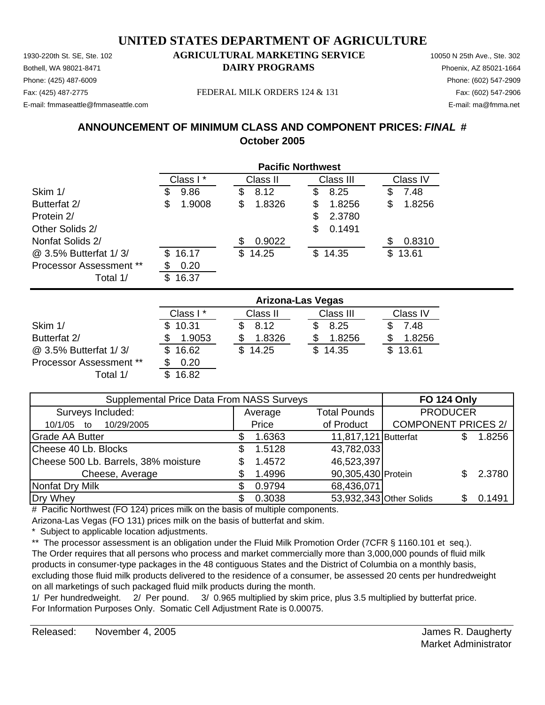Phone: (425) 487-6009 Phone: (602) 547-2909 E-mail: fmmaseattle@fmmaseattle.com E-mail: ma@fmma.net

### 1930-220th St. SE, Ste. 102 **AGRICULTURAL MARKETING SERVICE** 10050 N 25th Ave., Ste. 302 Bothell, WA 98021-8471 **DAIRY PROGRAMS** Phoenix, AZ 85021-1664

Fax: (425) 487-2775 FEDERAL MILK ORDERS 124 & 131 Fax: (602) 547-2906

## **ANNOUNCEMENT OF MINIMUM CLASS AND COMPONENT PRICES:** *FINAL* **# October 2005**

|                                | <b>Pacific Northwest</b> |                             |             |  |  |  |  |  |
|--------------------------------|--------------------------|-----------------------------|-------------|--|--|--|--|--|
|                                | Class I*                 | Class III<br>Class II       | Class IV    |  |  |  |  |  |
| Skim 1/                        | 9.86<br>3                | 8.12<br>\$<br>8.25<br>S     | 7.48<br>S   |  |  |  |  |  |
| Butterfat 2/                   | 1.9008<br>\$             | 1.8256<br>\$<br>1.8326<br>S | 1.8256<br>S |  |  |  |  |  |
| Protein 2/                     |                          | 2.3780<br>S                 |             |  |  |  |  |  |
| Other Solids 2/                |                          | \$<br>0.1491                |             |  |  |  |  |  |
| Nonfat Solids 2/               |                          | 0.9022<br>S                 | 0.8310      |  |  |  |  |  |
| @ 3.5% Butterfat 1/3/          | 16.17<br>S.              | \$14.35<br>14.25<br>\$.     | 13.61<br>S  |  |  |  |  |  |
| <b>Processor Assessment **</b> | 0.20                     |                             |             |  |  |  |  |  |
| Total 1/                       | 16.37                    |                             |             |  |  |  |  |  |

|                                | <b>Arizona-Las Vegas</b> |              |           |          |  |  |  |
|--------------------------------|--------------------------|--------------|-----------|----------|--|--|--|
|                                | Class I*                 | Class II     | Class III | Class IV |  |  |  |
| Skim 1/                        | \$10.31                  | 8.12         | 8.25      | 7.48     |  |  |  |
| Butterfat 2/                   | 1.9053                   | 1.8326       | 1.8256    | 1.8256   |  |  |  |
| @ 3.5% Butterfat 1/3/          | 16.62                    | 14.25<br>\$. | \$14.35   | \$13.61  |  |  |  |
| <b>Processor Assessment **</b> | 0.20                     |              |           |          |  |  |  |
| Total 1/                       | 16.82                    |              |           |          |  |  |  |

| Supplemental Price Data From NASS Surveys | <b>FO 124 Only</b> |                      |                            |  |        |
|-------------------------------------------|--------------------|----------------------|----------------------------|--|--------|
| Surveys Included:                         | Average            | <b>Total Pounds</b>  | <b>PRODUCER</b>            |  |        |
| 10/29/2005<br>10/1/05<br>to               | Price              | of Product           | <b>COMPONENT PRICES 2/</b> |  |        |
| <b>Grade AA Butter</b>                    | 1.6363             | 11,817,121 Butterfat |                            |  | 1.8256 |
| Cheese 40 Lb. Blocks                      | 1.5128             | 43,782,033           |                            |  |        |
| Cheese 500 Lb. Barrels, 38% moisture      | 1.4572             | 46,523,397           |                            |  |        |
| Cheese, Average                           | 1.4996             | 90,305,430 Protein   |                            |  | 2.3780 |
| Nonfat Dry Milk                           | 0.9794             | 68,436,071           |                            |  |        |
| Dry Whey                                  | 0.3038             |                      | 53,932,343 Other Solids    |  | 0.1491 |

# Pacific Northwest (FO 124) prices milk on the basis of multiple components.

Arizona-Las Vegas (FO 131) prices milk on the basis of butterfat and skim.

Subject to applicable location adjustments.

\*\* The processor assessment is an obligation under the Fluid Milk Promotion Order (7CFR § 1160.101 et seq.). The Order requires that all persons who process and market commercially more than 3,000,000 pounds of fluid milk products in consumer-type packages in the 48 contiguous States and the District of Columbia on a monthly basis, excluding those fluid milk products delivered to the residence of a consumer, be assessed 20 cents per hundredweight on all marketings of such packaged fluid milk products during the month.

1/ Per hundredweight. 2/ Per pound. 3/ 0.965 multiplied by skim price, plus 3.5 multiplied by butterfat price. For Information Purposes Only. Somatic Cell Adjustment Rate is 0.00075.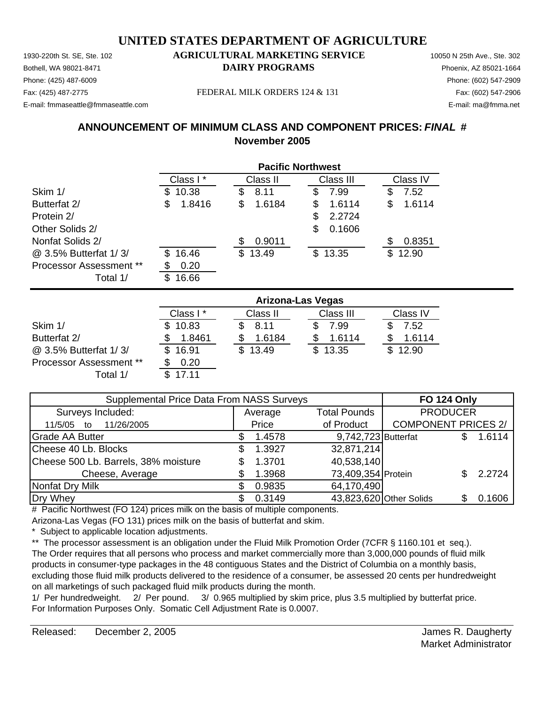Phone: (425) 487-6009 Phone: (602) 547-2909 E-mail: fmmaseattle@fmmaseattle.com E-mail: ma@fmma.net

### 1930-220th St. SE, Ste. 102 **AGRICULTURAL MARKETING SERVICE** 10050 N 25th Ave., Ste. 302 Bothell, WA 98021-8471 **DAIRY PROGRAMS** Phoenix, AZ 85021-1664

Fax: (425) 487-2775 Fax: (602) 547-2906 FEDERAL MILK ORDERS 124 & 131

### **ANNOUNCEMENT OF MINIMUM CLASS AND COMPONENT PRICES:** *FINAL* **# November 2005**

|                                | <b>Pacific Northwest</b> |              |             |              |  |  |  |
|--------------------------------|--------------------------|--------------|-------------|--------------|--|--|--|
|                                | Class I*                 | Class II     | Class III   | Class IV     |  |  |  |
| Skim 1/                        | 10.38<br>S.              | \$<br>8.11   | 7.99<br>S   | 7.52<br>\$   |  |  |  |
| Butterfat 2/                   | 1.8416<br>\$             | \$<br>1.6184 | 1.6114<br>S | 1.6114<br>\$ |  |  |  |
| Protein 2/                     |                          |              | 2.2724      |              |  |  |  |
| Other Solids 2/                |                          |              | 0.1606<br>S |              |  |  |  |
| Nonfat Solids 2/               |                          | 0.9011<br>S  |             | 0.8351<br>S  |  |  |  |
| @ 3.5% Butterfat 1/3/          | 16.46<br>\$.             | 13.49<br>\$  | \$13.35     | 12.90<br>\$. |  |  |  |
| <b>Processor Assessment **</b> | 0.20                     |              |             |              |  |  |  |
| Total 1/                       | 16.66<br>S               |              |             |              |  |  |  |

|                                | <b>Arizona-Las Vegas</b> |              |           |          |  |  |  |
|--------------------------------|--------------------------|--------------|-----------|----------|--|--|--|
|                                | Class I*                 | Class II     | Class III | Class IV |  |  |  |
| Skim 1/                        | \$10.83                  | 8.11         | 7.99      | 7.52     |  |  |  |
| Butterfat 2/                   | 1.8461                   | 1.6184       | 1.6114    | 1.6114   |  |  |  |
| @ 3.5% Butterfat 1/3/          | \$16.91                  | 13.49<br>\$. | \$13.35   | \$12.90  |  |  |  |
| <b>Processor Assessment **</b> | 0.20                     |              |           |          |  |  |  |
| Total 1/                       | 17.11                    |              |           |          |  |  |  |

| Supplemental Price Data From NASS Surveys | <b>FO 124 Only</b> |                     |                            |  |        |
|-------------------------------------------|--------------------|---------------------|----------------------------|--|--------|
| Surveys Included:                         | Average            | <b>Total Pounds</b> | <b>PRODUCER</b>            |  |        |
| 11/26/2005<br>11/5/05 to                  | Price              | of Product          | <b>COMPONENT PRICES 2/</b> |  |        |
| <b>Grade AA Butter</b>                    | 1.4578             | 9,742,723 Butterfat |                            |  | 1.6114 |
| Cheese 40 Lb. Blocks                      | 1.3927             | 32,871,214          |                            |  |        |
| Cheese 500 Lb. Barrels, 38% moisture      | 1.3701             | 40,538,140          |                            |  |        |
| Cheese, Average                           | 1.3968             | 73,409,354 Protein  |                            |  | 2.2724 |
| Nonfat Dry Milk                           | 0.9835             | 64,170,490          |                            |  |        |
| Dry Whey                                  | 0.3149             |                     | 43,823,620 Other Solids    |  | 0.1606 |

# Pacific Northwest (FO 124) prices milk on the basis of multiple components.

Arizona-Las Vegas (FO 131) prices milk on the basis of butterfat and skim.

Subject to applicable location adjustments.

\*\* The processor assessment is an obligation under the Fluid Milk Promotion Order (7CFR § 1160.101 et seq.). The Order requires that all persons who process and market commercially more than 3,000,000 pounds of fluid milk products in consumer-type packages in the 48 contiguous States and the District of Columbia on a monthly basis, excluding those fluid milk products delivered to the residence of a consumer, be assessed 20 cents per hundredweight on all marketings of such packaged fluid milk products during the month.

1/ Per hundredweight. 2/ Per pound. 3/ 0.965 multiplied by skim price, plus 3.5 multiplied by butterfat price. For Information Purposes Only. Somatic Cell Adjustment Rate is 0.0007.